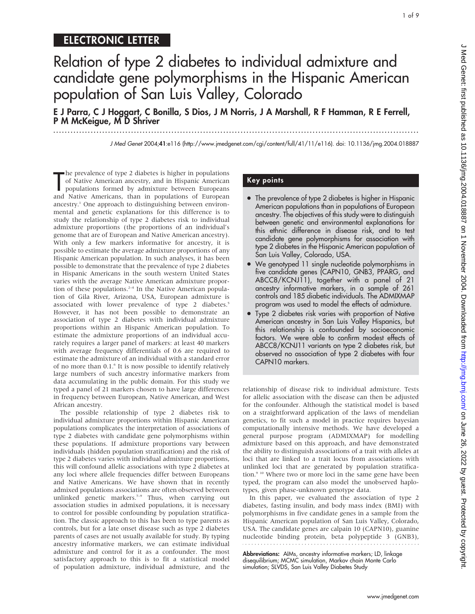# ELECTRONIC LETTER

Relation of type 2 diabetes to individual admixture and candidate gene polymorphisms in the Hispanic American population of San Luis Valley, Colorado

E J Parra, C J Hoggart, C Bonilla, S Dios, J M Norris, J A Marshall, R F Hamman, R E Ferrell, P M McKeigue, M D Shriver

...............................................................................................................................

J Med Genet 2004;41:e116 (http://www.jmedgenet.com/cgi/content/full/41/11/e116). doi: 10.1136/jmg.2004.018887

The prevalence of type 2 diabetes is higher in populations<br>of Native American ancestry, and in Hispanic American<br>populations formed by admixture between Europeans<br>and Native Americans, than in populations of European he prevalence of type 2 diabetes is higher in populations of Native American ancestry, and in Hispanic American populations formed by admixture between Europeans ancestry.<sup>1</sup> One approach to distinguishing between environmental and genetic explanations for this difference is to study the relationship of type 2 diabetes risk to individual admixture proportions (the proportions of an individual's genome that are of European and Native American ancestry). With only a few markers informative for ancestry, it is possible to estimate the average admixture proportions of any Hispanic American population. In such analyses, it has been possible to demonstrate that the prevalence of type 2 diabetes in Hispanic Americans in the south western United States varies with the average Native American admixture proportion of these populations.<sup>2-4</sup> In the Native American population of Gila River, Arizona, USA, European admixture is associated with lower prevalence of type 2 diabetes.<sup>5</sup> However, it has not been possible to demonstrate an association of type 2 diabetes with individual admixture proportions within an Hispanic American population. To estimate the admixture proportions of an individual accurately requires a larger panel of markers: at least 40 markers with average frequency differentials of 0.6 are required to estimate the admixture of an individual with a standard error of no more than 0.1.6 It is now possible to identify relatively large numbers of such ancestry informative markers from data accumulating in the public domain. For this study we typed a panel of 21 markers chosen to have large differences in frequency between European, Native American, and West African ancestry.

The possible relationship of type 2 diabetes risk to individual admixture proportions within Hispanic American populations complicates the interpretation of associations of type 2 diabetes with candidate gene polymorphisms within these populations. If admixture proportions vary between individuals (hidden population stratification) and the risk of type 2 diabetes varies with individual admixture proportions, this will confound allelic associations with type 2 diabetes at any loci where allele frequencies differ between Europeans and Native Americans. We have shown that in recently admixed populations associations are often observed between unlinked genetic markers.<sup>7-9</sup> Thus, when carrying out association studies in admixed populations, it is necessary to control for possible confounding by population stratification. The classic approach to this has been to type parents as controls, but for a late onset disease such as type 2 diabetes parents of cases are not usually available for study. By typing ancestry informative markers, we can estimate individual admixture and control for it as a confounder. The most satisfactory approach to this is to fit a statistical model of population admixture, individual admixture, and the

### Key points

- The prevalence of type 2 diabetes is higher in Hispanic American populations than in populations of European ancestry. The objectives of this study were to distinguish between genetic and environmental explanations for this ethnic difference in disease risk, and to test candidate gene polymorphisms for association with type 2 diabetes in the Hispanic American population of San Luis Valley, Colorado, USA.
- We genotyped 11 single nucleotide polymorphisms in five candidate genes (CAPN10, GNB3, PPARG, and ABCC8/KCNJ11), together with a panel of 21 ancestry informative markers, in a sample of 261 controls and 185 diabetic individuals. The ADMIXMAP program was used to model the effects of admixture.
- Type 2 diabetes risk varies with proportion of Native American ancestry in San Luis Valley Hispanics, but this relationship is confounded by socioeconomic factors. We were able to confirm modest effects of ABCC8/KCNJ11 variants on type 2 diabetes risk, but observed no association of type 2 diabetes with four CAPN10 markers.

relationship of disease risk to individual admixture. Tests for allelic association with the disease can then be adjusted for the confounder. Although the statistical model is based on a straightforward application of the laws of mendelian genetics, to fit such a model in practice requires bayesian computationally intensive methods. We have developed a general purpose program (ADMIXMAP) for modelling admixture based on this approach, and have demonstrated the ability to distinguish associations of a trait with alleles at loci that are linked to a trait locus from associations with unlinked loci that are generated by population stratification.<sup>9 10</sup> Where two or more loci in the same gene have been typed, the program can also model the unobserved haplotypes, given phase-unknown genotype data.

In this paper, we evaluated the association of type 2 diabetes, fasting insulin, and body mass index (BMI) with polymorphisms in five candidate genes in a sample from the Hispanic American population of San Luis Valley, Colorado, USA. The candidate genes are calpain 10 (CAPN10), guanine nucleotide binding protein, beta polypeptide 3 (GNB3), 

Abbreviations: AIMs, ancestry informative markers; LD, linkage disequilibrium; MCMC simulation, Markov chain Monte Carlo simulation; SLVDS, San Luis Valley Diabetes Study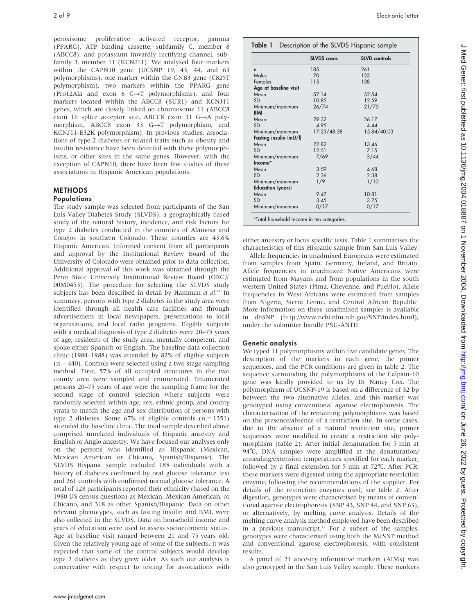peroxisome proliferative activated receptor, gamma (PPARG), ATP binding cassette, subfamily C, member 8 (ABCC8), and potassium inwardly rectifying channel, subfamily J, member 11 (KCNJ11). We analysed four markers within the CAPN10 gene (UCSNP 19, 43, 44, and 63 polymorphisms), one marker within the GNB3 gene (C825T polymorphism), two markers within the PPARG gene (Pro12Ala and exon 6  $C \rightarrow T$  polymorphisms), and four markers located within the ABCC8 (SUR1) and KCNJ11 genes, which are closely linked on chromosome 11 (ABCC8 exon 16 splice acceptor site, ABCC8 exon 31  $G \rightarrow A$  polymorphism, ABCC8 exon 33  $G \rightarrow T$  polymorphism, and KCNJ11-E32K polymorphism). In previous studies, associations of type 2 diabetes or related traits such as obesity and insulin resistance have been detected with these polymorphisms, or other sites in the same genes. However, with the exception of CAPN10, there have been few studies of these associations in Hispanic American populations.

## **METHODS**

### **Populations**

The study sample was selected from participants of the San Luis Valley Diabetes Study (SLVDS), a geographically based study of the natural history, incidence, and risk factors for type 2 diabetes conducted in the counties of Alamosa and Conejos in southern Colorado. These counties are 43.6% Hispanic American. Informed consent from all participants and approval by the Institutional Review Board of the University of Colorado were obtained prior to data collection. Additional approval of this work was obtained through the Penn State University Institutional Review Board (ORC# 00M0453). The procedure for selecting the SLVDS study subjects has been described in detail by Hamman et al.<sup>11</sup> In summary, persons with type 2 diabetes in the study area were identified through all health care facilities and through advertisement in local newspapers, presentations to local organisations, and local radio programs. Eligible subjects with a medical diagnosis of type 2 diabetes were 20–75 years of age, residents of the study area, mentally competent, and spoke either Spanish or English. The baseline data collection clinic (1984–1988) was attended by 82% of eligible subjects  $(n = 440)$ . Controls were selected using a two stage sampling method. First, 57% of all occupied structures in the two county area were sampled and enumerated. Enumerated persons 20–75 years of age were the sampling frame for the second stage of control selection where subjects were randomly selected within age, sex, ethnic group, and county strata to match the age and sex distribution of persons with type 2 diabetes. Some  $67\%$  of eligible controls  $(n = 1351)$ attended the baseline clinic. The total sample described above comprised unrelated individuals of Hispanic ancestry and English or Anglo ancestry. We have focused our analyses only on the persons who identified as Hispanic (Mexican, Mexican American or Chicano, Spanish/Hispanic). The SLVDS Hispanic sample included 185 individuals with a history of diabetes confirmed by oral glucose tolerance test and 261 controls with confirmed normal glucose tolerance. A total of 128 participants reported their ethnicity (based on the 1980 US census question) as Mexican, Mexican American, or Chicano, and 318 as other Spanish/Hispanic. Data on other relevant phenotypes, such as fasting insulin and BMI, were also collected in the SLVDS. Data on household income and years of education were used to assess socioeconomic status. Age at baseline visit ranged between 21 and 75 years old. Given the relatively young age of some of the subjects, it was expected that some of the control subjects would develop type 2 diabetes as they grew older. As such our analysis is conservative with respect to testing for associations with

|                          | <b>SLVDS</b> cases | <b>SLVD</b> controls |
|--------------------------|--------------------|----------------------|
| n                        | 185                | 261                  |
| Males                    | 70                 | 123                  |
| Females                  | 115                | 138                  |
| Age at baseline visit    |                    |                      |
| Mean                     | 57.14              | 52.54                |
| <b>SD</b>                | 10.85              | 12.59                |
| Minimum/maximum          | 26/74              | 21/75                |
| <b>BMI</b>               |                    |                      |
| Mean                     | 29.32              | 26.17                |
| <b>SD</b>                | 4.95               | 4.44                 |
| Minimum/maximum          | 17.23/48.38        | 15.84/40.03          |
| Fasting insulin (mU/l)   |                    |                      |
| Mean                     | 22.82              | 13.46                |
| <b>SD</b>                | 12.51              | 7.15                 |
| Minimum/maximum          | 7/69               | 3/44                 |
| Income*                  |                    |                      |
| Mean                     | 3.59               | 4.68                 |
| <b>SD</b>                | 2.36               | 2.38                 |
| Minimum/maximum          | 1/9                | 1/10                 |
| <b>Education</b> (years) |                    |                      |
| Mean                     | 9.47               | 10.81                |
| <b>SD</b>                | 3.45               | 3.75                 |
| Minimum/maximum          | 0/17               | 0/17                 |

either ancestry or locus specific tests. Table 1 summarises the characteristics of this Hispanic sample from San Luis Valley.

Allele frequencies in unadmixed Europeans were estimated from samples from Spain, Germany, Ireland, and Britain. Allele frequencies in unadmixed Native Americans were estimated from Mayans and from populations in the south western United States (Pima, Cheyenne, and Pueblo). Allele frequencies in West Africans were estimated from samples from Nigeria, Sierra Leone, and Central African Republic. More information on these unadmixed samples is available in dbSNP (http://www.ncbi.nlm.nih.gov/SNP/index.html), under the submitter handle PSU-ANTH.

#### Genetic analysis

We typed 11 polymorphisms within five candidate genes. The description of the markers in each gene, the primer sequences, and the PCR conditions are given in table 2. The sequence surrounding the polymorphisms of the Calpain-10 gene was kindly provided to us by Dr Nancy Cox. The polymorphism of UCSNP-19 is based on a difference of 32 bp between the two alternative alleles, and this marker was genotyped using conventional agarose electrophoresis. The characterisation of the remaining polymorphisms was based on the presence/absence of a restriction site. In some cases, due to the absence of a natural restriction site, primer sequences were modified to create a restriction site polymorphism (table 2). After initial denaturation for 5 min at 94°C, DNA samples were amplified at the denaturation/ annealing/extension temperatures specified for each marker, followed by a final extension for 5 min at 72˚C. After PCR, these markers were digested using the appropriate restriction enzyme, following the recommendations of the supplier. For details of the restriction enzymes used, see table 2. After digestion, genotypes were characterised by means of conventional agarose electrophoresis (SNP 43, SNP 44, and SNP 63), or alternatively, by melting curve analysis. Details of the melting curve analysis method employed have been described in a previous manuscript.<sup>12</sup> For a subset of the samples, genotypes were characterised using both the McSNP method and conventional agarose electrophoresis, with consistent results.

A panel of 21 ancestry informative markers (AIMs) was also genotyped in the San Luis Valley sample. These markers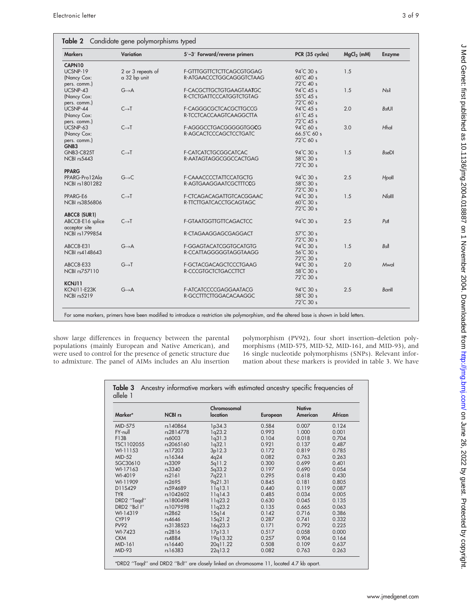Electronic letter 3 of 9

| <b>Markers</b>        | Variation         | 5'-3' Forward/reverse primers | PCR (35 cycles)     | $MgCl2$ (mM) | <b>Enzyme</b>       |
|-----------------------|-------------------|-------------------------------|---------------------|--------------|---------------------|
| CAPN10                |                   |                               |                     |              |                     |
| UCSNP-19              | 2 or 3 repeats of | F-GTTTGGTTCTCTTCAGCGTGGAG     | $94^{\circ}$ C 30 s | 1.5          |                     |
| (Nancy Cox:           | a 32 bp unit      | R-ATGAACCCTGGCAGGGTCTAAG      | 60°C 40 s           |              |                     |
| pers. comm.)          |                   |                               | 72℃ 40 s            |              |                     |
| UCSNP-43              | $G \rightarrow A$ | F-CACGCTTGCTGTGAAGTAATGC      | $94^{\circ}$ C 45 s | 1.5          | Nsl                 |
| (Nancy Cox:           |                   | R-CTCTGATTCCCATGGTCTGTAG      | 55℃ 45 s            |              |                     |
| pers. comm.)          |                   |                               | 72℃ 60 s            |              |                     |
| UCSNP-44              | $C \rightarrow T$ | F-CAGGGCGCTCACGCTTGCCG        | 94°C 45 s           | 2.0          | <b>BsfUI</b>        |
| (Nancy Cox:           |                   | R-TCCTCACCAAGTCAAGGCTTA       | $61^{\circ}$ C 45 s |              |                     |
| pers. comm.)          |                   |                               | 72°C 45 s           |              |                     |
| UCSNP-63              | $C \rightarrow T$ | F-AGGGCCTGACGGGGGTGGCG        | 94°C 60 s           | 3.0          | Hhal                |
| (Nancy Cox:           |                   | R-AGCACTCCCAGCTCCTGATC        | 66.5°C 60 s         |              |                     |
| pers. comm.)          |                   |                               | 72°C 60 s           |              |                     |
| GNB <sub>3</sub>      |                   |                               |                     |              |                     |
| <b>GNB3-C825T</b>     | $C\rightarrow T$  | F-CATCATCTGCGGCATCAC          | 94°C 30 s           | 1.5          | BseDI               |
| NCBI rs5443           |                   | R-AATAGTAGGCGGCCACTGAG        | 58°C 30 s           |              |                     |
|                       |                   |                               | 72℃ 30 s            |              |                     |
| <b>PPARG</b>          |                   |                               |                     |              |                     |
| PPARG-Pro12Ala        | $G\rightarrow C$  | F-CAAACCCCTATTCCATGCTG        | 94°C 30 s           | 2.5          | Hpall               |
| <b>NCBI rs1801282</b> |                   | R-AGTGAAGGAATCGCTTTCCG        | 58°C 30 s           |              |                     |
|                       |                   |                               | 72℃ 30 s            |              |                     |
| PPARG-E6              | $C \rightarrow T$ | F-CTCAGACAGATTGTCACGGAAC      | 94°C 30 s           | 1.5          | $N$ <sub>alll</sub> |
| <b>NCBI rs3856806</b> |                   | R-TTCTTGATCACCTGCAGTAGC       | 60°C 30 s           |              |                     |
|                       |                   |                               | 72℃ 30 s            |              |                     |
| ABCC8 (SUR1)          |                   |                               |                     |              |                     |
| ABCC8-E16 splice      | $C \rightarrow T$ | F-GTAATGGTTGTTCAGACTCC        | 94°C 30 s           | 2.5          | P <sub>sf</sub>     |
| acceptor site         |                   |                               |                     |              |                     |
| <b>NCBI rs1799854</b> |                   | R-CTAGAAGGAGCGAGGACT          | 57°C 30 s           |              |                     |
|                       |                   |                               | 72℃ 30 s            |              |                     |
| ABCC8-E31             | $G \rightarrow A$ | F-GGAGTACATCGGTGCATGTG        | 94°C 30 s           | 1.5          | Bsl                 |
| <b>NCBI rs4148643</b> |                   | R-CCATTAGGGGGTAGGTAAGG        | 56°C 30 s           |              |                     |
|                       |                   |                               | 72℃ 30 s            |              |                     |
| ABCC8-E33             | $G \rightarrow T$ | F-GCTACGACAGCTCCCTGAAG        | $94^{\circ}$ C 30 s | 2.0          | Mwol                |
| <b>NCBI rs757110</b>  |                   | R-CCCGTGCTCTGACCTTCT          | 58°C 30 s           |              |                     |
|                       |                   |                               | 72℃ 30 s            |              |                     |
| KCNJ11                |                   |                               |                     |              |                     |
| <b>KCNJ11-E23K</b>    | $G \rightarrow A$ | F-ATCATCCCCGAGGAATACG         | 94°C 30 s           | 2.5          | Banll               |
| NCBI rs5219           |                   | R-GCCTTTCTTGGACACAAGGC        | 58°C 30 s           |              |                     |
|                       |                   |                               | 72℃ 30 s            |              |                     |

show large differences in frequency between the parental populations (mainly European and Native American), and were used to control for the presence of genetic structure due to admixture. The panel of AIMs includes an Alu insertion

polymorphism (PV92), four short insertion–deletion polymorphisms (MID-575, MID-52, MID-161, and MID-93), and 16 single nucleotide polymorphisms (SNPs). Relevant information about these markers is provided in table 3. We have

| Marker*           | <b>NCBI</b> rs | Chromosomal<br>location | European | <b>Native</b><br>American | African |
|-------------------|----------------|-------------------------|----------|---------------------------|---------|
| MID-575           | rs140864       | 1p34.3                  | 0.584    | 0.007                     | 0.124   |
| FY-null           | rs2814778      | 1q23.2                  | 0.993    | 1.000                     | 0.001   |
| F13B              | rs6003         | 1q31.3                  | 0.104    | 0.018                     | 0.704   |
| TSC1102055        | rs2065160      | 1q32.1                  | 0.921    | 0.137                     | 0.487   |
| WI-11153          | rs17203        | 3p12.3                  | 0.172    | 0.819                     | 0.785   |
| <b>MID-52</b>     | rs16344        | 4q24                    | 0.082    | 0.763                     | 0.263   |
| SGC30610          | rs3309         | 5q11.2                  | 0.300    | 0.699                     | 0.401   |
| WI-17163          | rs3340         | 5q33.2                  | 0.197    | 0.690                     | 0.054   |
| WI-4019           | rs2161         | 7q22.1                  | 0.295    | 0.618                     | 0.430   |
| WI-11909          | rs2695         | 9q21.31                 | 0.845    | 0.181                     | 0.805   |
| D11S429           | rs594689       | 11q13.1                 | 0.440    | 0.119                     | 0.087   |
| <b>TYR</b>        | rs1042602      | 11q14.3                 | 0.485    | 0.034                     | 0.005   |
| DRD2 "Tagd"       | rs1800498      | 11q23.2                 | 0.630    | 0.045                     | 0.135   |
| DRD2 "Bcl I"      | rs1079598      | 11q23.2                 | 0.135    | 0.665                     | 0.063   |
| WI-14319          | rs2862         | 15q14                   | 0.142    | 0.716                     | 0.386   |
| CYP <sub>19</sub> | rs4646         | 15q21.2                 | 0.287    | 0.741                     | 0.332   |
| <b>PV92</b>       | rs3138523      | 16q23.3                 | 0.171    | 0.792                     | 0.225   |
| WI-7423           | rs2816         | 17p13.1                 | 0.517    | 0.058                     | 0.000   |
| <b>CKM</b>        | rs4884         | 19q13.32                | 0.257    | 0.904                     | 0.164   |
| MID-161           | rs16440        | 20q11.22                | 0.508    | 0.109                     | 0.637   |
| <b>MID-93</b>     | rs16383        | 22q13.2                 | 0.082    | 0.763                     | 0.263   |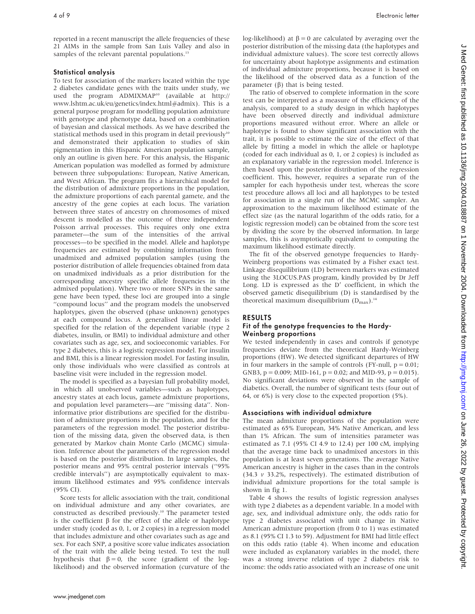reported in a recent manuscript the allele frequencies of these 21 AIMs in the sample from San Luis Valley and also in samples of the relevant parental populations.<sup>13</sup>

#### Statistical analysis

To test for association of the markers located within the type 2 diabetes candidate genes with the traits under study, we used the program ADMIXMAP<sup>10</sup> (available at http:// www.lshtm.ac.uk/eu/genetics/index.html#admix). This is a general purpose program for modelling population admixture with genotype and phenotype data, based on a combination of bayesian and classical methods. As we have described the statistical methods used in this program in detail previously $10^{\circ}$ and demonstrated their application to studies of skin pigmentation in this Hispanic American population sample, only an outline is given here. For this analysis, the Hispanic American population was modelled as formed by admixture between three subpopulations: European, Native American, and West African. The program fits a hierarchical model for the distribution of admixture proportions in the population, the admixture proportions of each parental gamete, and the ancestry of the gene copies at each locus. The variation between three states of ancestry on chromosomes of mixed descent is modelled as the outcome of three independent Poisson arrival processes. This requires only one extra parameter—the sum of the intensities of the arrival processes—to be specified in the model. Allele and haplotype frequencies are estimated by combining information from unadmixed and admixed population samples (using the posterior distribution of allele frequencies obtained from data on unadmixed individuals as a prior distribution for the corresponding ancestry specific allele frequencies in the admixed population). Where two or more SNPs in the same gene have been typed, these loci are grouped into a single ''compound locus'' and the program models the unobserved haplotypes, given the observed (phase unknown) genotypes at each compound locus. A generalised linear model is specified for the relation of the dependent variable (type 2 diabetes, insulin, or BMI) to individual admixture and other covariates such as age, sex, and socioeconomic variables. For type 2 diabetes, this is a logistic regression model. For insulin and BMI, this is a linear regression model. For fasting insulin, only those individuals who were classified as controls at baseline visit were included in the regression model.

The model is specified as a bayesian full probability model, in which all unobserved variables—such as haplotypes, ancestry states at each locus, gamete admixture proportions, and population level parameters—are ''missing data''. Noninformative prior distributions are specified for the distribution of admixture proportions in the population, and for the parameters of the regression model. The posterior distribution of the missing data, given the observed data, is then generated by Markov chain Monte Carlo (MCMC) simulation. Inference about the parameters of the regression model is based on the posterior distribution. In large samples, the posterior means and 95% central posterior intervals (''95% credible intervals'') are asymptotically equivalent to maximum likelihood estimates and 95% confidence intervals (95% CI).

Score tests for allelic association with the trait, conditional on individual admixture and any other covariates, are constructed as described previously.<sup>10</sup> The parameter tested is the coefficient  $\beta$  for the effect of the allele or haplotype under study (coded as 0, 1, or 2 copies) in a regression model that includes admixture and other covariates such as age and sex. For each SNP, a positive score value indicates association of the trait with the allele being tested. To test the null hypothesis that  $\beta = 0$ , the score (gradient of the loglikelihood) and the observed information (curvature of the log-likelihood) at  $\beta = 0$  are calculated by averaging over the posterior distribution of the missing data (the haplotypes and individual admixture values). The score test correctly allows for uncertainty about haplotype assignments and estimation of individual admixture proportions, because it is based on the likelihood of the observed data as a function of the parameter  $(\beta)$  that is being tested.

The ratio of observed to complete information in the score test can be interpreted as a measure of the efficiency of the analysis, compared to a study design in which haplotypes have been observed directly and individual admixture proportions measured without error. Where an allele or haplotype is found to show significant association with the trait, it is possible to estimate the size of the effect of that allele by fitting a model in which the allele or haplotype (coded for each individual as 0, 1, or 2 copies) is included as an explanatory variable in the regression model. Inference is then based upon the posterior distribution of the regression coefficient. This, however, requires a separate run of the sampler for each hypothesis under test, whereas the score test procedure allows all loci and all haplotypes to be tested for association in a single run of the MCMC sampler. An approximation to the maximum likelihood estimate of the effect size (as the natural logarithm of the odds ratio, for a logistic regression model) can be obtained from the score test by dividing the score by the observed information. In large samples, this is asymptotically equivalent to computing the maximum likelihood estimate directly.

The fit of the observed genotype frequencies to Hardy-Weinberg proportions was estimated by a Fisher exact test. Linkage disequilibrium (LD) between markers was estimated using the 3LOCUS.PAS program, kindly provided by Dr Jeff Long. LD is expressed as the D' coefficient, in which the observed gametic disequilibrium (D) is standardised by the theoretical maximum disequilibrium  $(D_{\text{max}})$ .<sup>14</sup>

#### RESULTS

#### Fit of the genotype frequencies to the Hardy-Weinberg proportions

We tested independently in cases and controls if genotype frequencies deviate from the theoretical Hardy-Weinberg proportions (HW). We detected significant departures of HW in four markers in the sample of controls (FY-null,  $p = 0.01$ ; GNB3,  $p = 0.009$ ; MID-161,  $p = 0.02$ ; and MID-93,  $p = 0.015$ ). No significant deviations were observed in the sample of diabetics. Overall, the number of significant tests (four out of 64, or 6%) is very close to the expected proportion (5%).

#### Associations with individual admixture

The mean admixture proportions of the population were estimated as 65% European, 34% Native American, and less than 1% African. The sum of intensities parameter was estimated as 7.1 (95% CI 4.9 to 12.4) per 100 cM, implying that the average time back to unadmixed ancestors in this population is at least seven generations. The average Native American ancestry is higher in the cases than in the controls (34.3  $\nu$  33.2%, respectively). The estimated distribution of individual admixture proportions for the total sample is shown in fig 1.

Table 4 shows the results of logistic regression analyses with type 2 diabetes as a dependent variable. In a model with age, sex, and individual admixture only, the odds ratio for type 2 diabetes associated with unit change in Native American admixture proportion (from 0 to 1) was estimated as 8.1 (95% CI 1.3 to 59). Adjustment for BMI had little effect on this odds ratio (table 4). When income and education were included as explanatory variables in the model, there was a strong inverse relation of type 2 diabetes risk to income: the odds ratio associated with an increase of one unit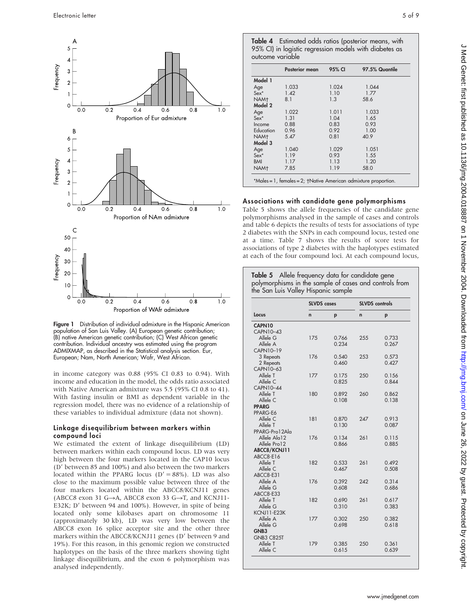

Figure 1 Distribution of individual admixture in the Hispanic American population of San Luis Valley. (A) European genetic contribution; (B) native American genetic contribution; (C) West African genetic contribution. Individual ancestry was estimated using the program ADMIXMAP, as described in the Statistical analysis section. Eur, European; Nam, North American; Wafr, West African.

in income category was 0.88 (95% CI 0.83 to 0.94). With income and education in the model, the odds ratio associated with Native American admixture was 5.5 (95% CI 0.8 to 41). With fasting insulin or BMI as dependent variable in the regression model, there was no evidence of a relationship of these variables to individual admixture (data not shown).

#### Linkage disequilibrium between markers within compound loci

We estimated the extent of linkage disequilibrium (LD) between markers within each compound locus. LD was very high between the four markers located in the CAP10 locus (D' between 85 and 100%) and also between the two markers located within the PPARG locus ( $D' = 88\%$ ). LD was also close to the maximum possible value between three of the four markers located within the ABCC8/KCNJ11 genes (ABCC8 exon 31 G $\rightarrow$ A, ABCC8 exon 33 G $\rightarrow$ T, and KCNJ11-E32K; D' between 94 and  $100\%$ ). However, in spite of being located only some kilobases apart on chromosome 11 (approximately 30 kb), LD was very low between the ABCC8 exon 16 splice acceptor site and the other three markers within the ABCC8/KCNJ11 genes (D' between 9 and 19%). For this reason, in this genomic region we constructed haplotypes on the basis of the three markers showing tight linkage disequilibrium, and the exon 6 polymorphism was analysed independently.

Table 4 Estimated odds ratios (posterior means, with 95% CI) in logistic regression models with diabetes as outcome variable

|                  | <b>Posterior mean</b> | 95% CI | 97.5% Quantile |
|------------------|-----------------------|--------|----------------|
| Model 1          |                       |        |                |
| Age              | 1.033                 | 1.024  | 1.044          |
| $Sex^*$          | 1.42                  | 1.10   | 1.77           |
| NAM <sub>t</sub> | 8.1                   | 1.3    | 58.6           |
| Model 2          |                       |        |                |
| Age              | 1.022                 | 1.011  | 1.033          |
| $Sex^*$          | 1.31                  | 1.04   | 1.65           |
| Income           | 0.88                  | 0.83   | 0.93           |
| Education        | 0.96                  | 0.92   | 1.00           |
| NAM <sub>t</sub> | 5.47                  | 0.81   | 40.9           |
| Model 3          |                       |        |                |
| Age              | 1.040                 | 1.029  | 1.051          |
| $Sex*$           | 1.19                  | 0.93   | 1.55           |
| <b>BMI</b>       | 1.17                  | 1.13   | 1.20           |
| NAM <sub>t</sub> | 7.85                  | 1.19   | 58.0           |

## Associations with candidate gene polymorphisms

Table 5 shows the allele frequencies of the candidate gene polymorphisms analysed in the sample of cases and controls and table 6 depicts the results of tests for associations of type 2 diabetes with the SNPs in each compound locus, tested one at a time. Table 7 shows the results of score tests for associations of type 2 diabetes with the haplotypes estimated at each of the four compound loci. At each compound locus,

| Table 5 Allele frequency data for candidate gene       |
|--------------------------------------------------------|
| polymorphisms in the sample of cases and controls from |
| the San Luis Valley Hispanic sample                    |

|                   | <b>SLVDS</b> cases |       | <b>SLVDS</b> controls |       |  |
|-------------------|--------------------|-------|-----------------------|-------|--|
| Locus             | n                  | p     | $\mathbf n$           | p     |  |
| CAPN10            |                    |       |                       |       |  |
| CAPN10-43         |                    |       |                       |       |  |
| Allele G          | 175                | 0.766 | 255                   | 0.733 |  |
| Allele A          |                    | 0.234 |                       | 0.267 |  |
| CAPN10-19         |                    |       |                       |       |  |
| 3 Repeats         | 176                | 0.540 | 253                   | 0.573 |  |
| 2 Repeats         |                    | 0.460 |                       | 0.427 |  |
| CAPN10-63         |                    |       |                       |       |  |
| Allele T          | 177                | 0.175 | 250                   | 0.156 |  |
| Allele C          |                    | 0.825 |                       | 0.844 |  |
| CAPN10-44         |                    |       |                       |       |  |
| Allele T          | 180                | 0.892 | 260                   | 0.862 |  |
| Allele C          |                    | 0.108 |                       | 0.138 |  |
| <b>PPARG</b>      |                    |       |                       |       |  |
| PPARG-E6          |                    |       |                       |       |  |
| Allele C          | 181                | 0.870 | 247                   | 0.913 |  |
| Allele T          |                    | 0.130 |                       | 0.087 |  |
| PPARG-Pro12Ala    |                    |       |                       |       |  |
| Allele Ala12      | 176                | 0.134 | 261                   | 0.115 |  |
| Allele Pro12      |                    | 0.866 |                       | 0.885 |  |
| ABCC8/KCNJ11      |                    |       |                       |       |  |
| ABCC8-E16         |                    |       |                       |       |  |
| Allele T          | 182                | 0.533 | 261                   | 0.492 |  |
| Allele C          |                    | 0.467 |                       | 0.508 |  |
| ABCC8-E31         |                    |       |                       |       |  |
| Allele A          | 176                | 0.392 | 242                   | 0.314 |  |
| Allele G          |                    | 0.608 |                       | 0.686 |  |
| ABCC8-E33         |                    |       |                       |       |  |
| Allele T          | 182                | 0.690 | 261                   | 0.617 |  |
| Allele G          |                    | 0.310 |                       | 0.383 |  |
| KCNJ11-E23K       |                    |       |                       |       |  |
| Allele A          | 177                | 0.302 | 250                   | 0.382 |  |
| Allele G          |                    | 0.698 |                       | 0.618 |  |
| GNB <sub>3</sub>  |                    |       |                       |       |  |
| <b>GNB3 C825T</b> |                    |       |                       |       |  |
| Allele T          | 179                | 0.385 | 250                   | 0.361 |  |
| Allele C          |                    | 0.615 |                       | 0.639 |  |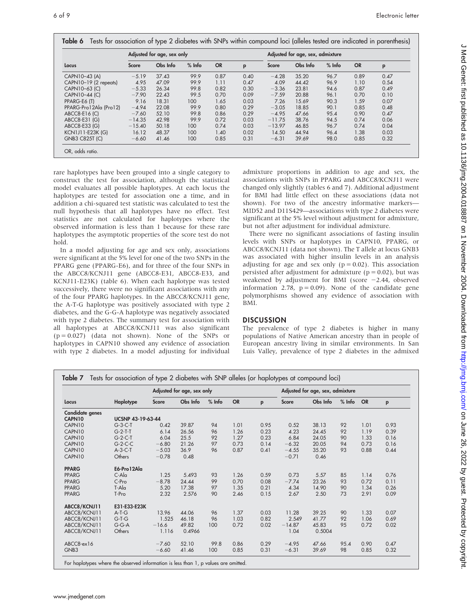|                         | Adjusted for age, sex only |          |          |           | Adjusted for age, sex, admixture |          |          |          |           |      |
|-------------------------|----------------------------|----------|----------|-----------|----------------------------------|----------|----------|----------|-----------|------|
| Locus                   | <b>Score</b>               | Obs Info | $%$ Info | <b>OR</b> | p                                | Score    | Obs Info | $%$ Info | <b>OR</b> | p    |
| CAPN10-43 (A)           | $-5.19$                    | 37.43    | 99.9     | 0.87      | 0.40                             | $-4.28$  | 35.20    | 96.7     | 0.89      | 0.47 |
| CAPN10-19 (2 repeats)   | 4.95                       | 47.09    | 99.9     | 1.11      | 0.47                             | 4.09     | 44.42    | 96.9     | 1.10      | 0.54 |
| CAPN10-63 (C)           | $-5.33$                    | 26.34    | 99.8     | 0.82      | 0.30                             | $-3.36$  | 23.81    | 94.6     | 0.87      | 0.49 |
| CAPN10-44 (C)           | $-7.90$                    | 22.43    | 99.5     | 0.70      | 0.09                             | $-7.59$  | 20.88    | 96.1     | 0.70      | 0.10 |
| PPARG-E6 (T)            | 9.16                       | 18.31    | 100      | 1.65      | 0.03                             | 7.26     | 15.69    | 90.3     | 1.59      | 0.07 |
| PPARG-Pro12Ala (Pro12)  | $-4.94$                    | 22.08    | 99.9     | 0.80      | 0.29                             | $-3.05$  | 18.85    | 90.1     | 0.85      | 0.48 |
| ABCC8-E16 (C)           | $-7.60$                    | 52.10    | 99.8     | 0.86      | 0.29                             | $-4.95$  | 47.66    | 95.4     | 0.90      | 0.47 |
| ABCC8-E31 (G)           | $-14.35$                   | 42.98    | 99.9     | 0.72      | 0.03                             | $-11.75$ | 38.76    | 94.5     | 0.74      | 0.06 |
| ABCC8-E33 (G)           | $-15.40$                   | 50.18    | 100      | 0.74      | 0.03                             | $-13.97$ | 46.85    | 96.7     | 0.74      | 0.04 |
| <b>KCN1J11-E23K (G)</b> | 16.12                      | 48.37    | 100      | 1.40      | 0.02                             | 14.50    | 44.94    | 96.4     | 1.38      | 0.03 |
| <b>GNB3 C825T (C)</b>   | $-6.60$                    | 41.46    | 100      | 0.85      | 0.31                             | $-6.31$  | 39.69    | 98.0     | 0.85      | 0.32 |

rare haplotypes have been grouped into a single category to construct the test for association, although the statistical model evaluates all possible haplotypes. At each locus the haplotypes are tested for association one a time, and in addition a chi-squared test statistic was calculated to test the null hypothesis that all haplotypes have no effect. Test statistics are not calculated for haplotypes where the observed information is less than 1 because for these rare haplotypes the asymptotic properties of the score test do not hold.

In a model adjusting for age and sex only, associations were significant at the 5% level for one of the two SNPs in the PPARG gene (PPARG-E6), and for three of the four SNPs in the ABCC8/KCNJ11 gene (ABCC8-E31, ABCC8-E33, and KCNJ11-E23K) (table 6). When each haplotype was tested successively, there were no significant associations with any of the four PPARG haplotypes. In the ABCC8/KCNJ11 gene, the A-T-G haplotype was positively associated with type 2 diabetes, and the G-G-A haplotype was negatively associated with type 2 diabetes. The summary test for association with all haplotypes at ABCC8/KCNJ11 was also significant  $(p = 0.027)$  (data not shown). None of the SNPs or haplotypes in CAPN10 showed any evidence of association with type 2 diabetes. In a model adjusting for individual admixture proportions in addition to age and sex, the associations with SNPs in PPARG and ABCC8/KCNJ11 were changed only slightly (tables 6 and 7). Additional adjustment for BMI had little effect on these associations (data not shown). For two of the ancestry informative markers— MID52 and D11S429—associations with type 2 diabetes were significant at the 5% level without adjustment for admixture, but not after adjustment for individual admixture.

There were no significant associations of fasting insulin levels with SNPs or haplotypes in CAPN10, PPARG, or ABCC8/KCNJ11 (data not shown). The T allele at locus GNB3 was associated with higher insulin levels in an analysis adjusting for age and sex only  $(p = 0.02)$ . This association persisted after adjustment for admixture ( $p = 0.02$ ), but was weakened by adjustment for BMI (score  $-2.44$ , observed information 2.78,  $p = 0.09$ ). None of the candidate gene polymorphisms showed any evidence of association with BMI.

#### **DISCUSSION**

The prevalence of type 2 diabetes is higher in many populations of Native American ancestry than in people of European ancestry living in similar environments. In San Luis Valley, prevalence of type 2 diabetes in the admixed

|                           |                          |              | Adjusted for age, sex only |          |           |      |          | Adjusted for age, sex, admixture |          |           |      |
|---------------------------|--------------------------|--------------|----------------------------|----------|-----------|------|----------|----------------------------------|----------|-----------|------|
| Locus                     | Haplotype                | <b>Score</b> | Obs Info                   | $%$ Info | <b>OR</b> | p    | Score    | Obs Info                         | $%$ Info | <b>OR</b> | p    |
| Candidate genes<br>CAPN10 | <b>UCSNP 43-19-63-44</b> |              |                            |          |           |      |          |                                  |          |           |      |
| CAPN10                    | $G-3-C-T$                | 0.42         | 39.87                      | 94       | 1.01      | 0.95 | 0.52     | 38.13                            | 92       | 1.01      | 0.93 |
| CAPN10                    | $G-2-T-T$                | 6.14         | 26.56                      | 96       | 1.26      | 0.23 | 4.23     | 24.45                            | 92       | 1.19      | 0.39 |
| CAPN10                    | $G-2-C-T$                | 6.04         | 25.5                       | 92       | 1.27      | 0.23 | 6.84     | 24.05                            | 90       | 1.33      | 0.16 |
| CAPN10                    | $G-2-C-C$                | $-6.80$      | 21.26                      | 97       | 0.73      | 0.14 | $-6.32$  | 20.05                            | 94       | 0.73      | 0.16 |
| CAPN10                    | $A-3-C-T$                | $-5.03$      | 36.9                       | 96       | 0.87      | 0.41 | $-4.55$  | 35.20                            | 93       | 0.88      | 0.44 |
| CAPN10                    | Others                   | $-0.78$      | 0.48                       |          |           |      | $-0.71$  | 0.46                             |          |           |      |
| <b>PPARG</b>              | E6-Pro12Ala              |              |                            |          |           |      |          |                                  |          |           |      |
| <b>PPARG</b>              | $C$ -Ala                 | 1.25         | 5.493                      | 93       | 1.26      | 0.59 | 0.73     | 5.57                             | 85       | 1.14      | 0.76 |
| <b>PPARG</b>              | C-Pro                    | $-8.78$      | 24.44                      | 99       | 0.70      | 0.08 | $-7.74$  | 23.26                            | 93       | 0.72      | 0.11 |
| <b>PPARG</b>              | $T - Ala$                | 5.20         | 17.38                      | 97       | 1.35      | 0.21 | 4.34     | 14.90                            | 90       | 1.34      | 0.26 |
| <b>PPARG</b>              | T-Pro                    | 2.32         | 2.576                      | 90       | 2.46      | 0.15 | 2.67     | 2.50                             | 73       | 2.91      | 0.09 |
| ABCC8/KCNJ11              | E31-E33-E23K             |              |                            |          |           |      |          |                                  |          |           |      |
| ABCC8/KCNJ11              | $A-T-G$                  | 13.96        | 44.06                      | 96       | 1.37      | 0.03 | 11.28    | 39.25                            | 90       | 1.33      | 0.07 |
| ABCC8/KCNJ11              | $G-T-G$                  | 1.525        | 46.18                      | 96       | 1.03      | 0.82 | 2.549    | 41.77                            | 92       | 1.06      | 0.69 |
| ABCC8/KCNJ11              | $G-G-A$                  | $-16.6$      | 49.82                      | 100      | 0.72      | 0.02 | $-14.87$ | 45.83                            | 95       | 0.72      | 0.02 |
| ABCC8/KCNJ11              | Others                   | 1.116        | 0.4966                     |          |           |      | 1.04     | 0.5004                           |          |           |      |
| ABCC8-ex16                |                          | $-7.60$      | 52.10                      | 99.8     | 0.86      | 0.29 | $-4.95$  | 47.66                            | 95.4     | 0.90      | 0.47 |
| GNB <sub>3</sub>          |                          | $-6.60$      | 41.46                      | 100      | 0.85      | 0.31 | $-6.31$  | 39.69                            | 98       | 0.85      | 0.32 |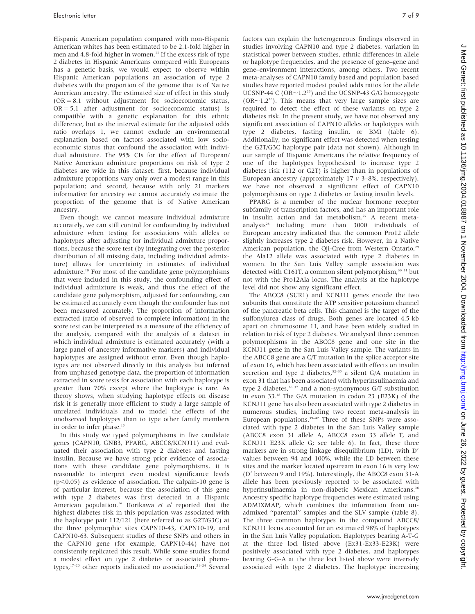Hispanic American population compared with non-Hispanic American whites has been estimated to be 2.1-fold higher in men and 4.8-fold higher in women.<sup>11</sup> If the excess risk of type 2 diabetes in Hispanic Americans compared with Europeans has a genetic basis, we would expect to observe within Hispanic American populations an association of type 2 diabetes with the proportion of the genome that is of Native American ancestry. The estimated size of effect in this study (OR = 8.1 without adjustment for socioeconomic status,  $OR = 5.1$  after adjustment for socioeconomic status) is compatible with a genetic explanation for this ethnic difference, but as the interval estimate for the adjusted odds ratio overlaps 1, we cannot exclude an environmental explanation based on factors associated with low socioeconomic status that confound the association with individual admixture. The 95% CIs for the effect of European/ Native American admixture proportions on risk of type 2 diabetes are wide in this dataset: first, because individual admixture proportions vary only over a modest range in this population; and second, because with only 21 markers informative for ancestry we cannot accurately estimate the proportion of the genome that is of Native American ancestry.

Even though we cannot measure individual admixture accurately, we can still control for confounding by individual admixture when testing for associations with alleles or haplotypes after adjusting for individual admixture proportions, because the score test (by integrating over the posterior distribution of all missing data, including individual admixture) allows for uncertainty in estimates of individual admixture.10 For most of the candidate gene polymorphisms that were included in this study, the confounding effect of individual admixture is weak, and thus the effect of the candidate gene polymorphism, adjusted for confounding, can be estimated accurately even though the confounder has not been measured accurately. The proportion of information extracted (ratio of observed to complete information) in the score test can be interpreted as a measure of the efficiency of the analysis, compared with the analysis of a dataset in which individual admixture is estimated accurately (with a large panel of ancestry informative markers) and individual haplotypes are assigned without error. Even though haplotypes are not observed directly in this analysis but inferred from unphased genotype data, the proportion of information extracted in score tests for association with each haplotype is greater than 70% except where the haplotype is rare. As theory shows, when studying haplotype effects on disease risk it is generally more efficient to study a large sample of unrelated individuals and to model the effects of the unobserved haplotypes than to type other family members in order to infer phase.<sup>15</sup>

In this study we typed polymorphisms in five candidate genes (CAPN10, GNB3, PPARG, ABCC8/KCNJ11) and evaluated their association with type 2 diabetes and fasting insulin. Because we have strong prior evidence of associations with these candidate gene polymorphisms, it is reasonable to interpret even modest significance levels  $(p<0.05)$  as evidence of association. The calpain-10 gene is of particular interest, because the association of this gene with type 2 diabetes was first detected in a Hispanic American population.<sup>16</sup> Horikawa et al reported that the highest diabetes risk in this population was associated with the haplotype pair 112/121 (here referred to as G2T/G3C) at the three polymorphic sites CAPN10-43, CAPN10-19, and CAPN10-63. Subsequent studies of these SNPs and others in the CAPN10 gene (for example, CAPN10-44) have not consistently replicated this result. While some studies found a modest effect on type 2 diabetes or associated phenotypes,<sup>17-20</sup> other reports indicated no association.<sup>21-24</sup> Several factors can explain the heterogeneous findings observed in studies involving CAPN10 and type 2 diabetes: variation in statistical power between studies, ethnic differences in allele or haplotype frequencies, and the presence of gene–gene and gene–environment interactions, among others. Two recent meta-analyses of CAPN10 family based and population based studies have reported modest pooled odds ratios for the allele UCSNP-44 C (OR $\sim$ 1.2<sup>25</sup>) and the UCSNP-43 G/G homozygote  $(OR~1.2<sup>26</sup>)$ . This means that very large sample sizes are required to detect the effect of these variants on type 2 diabetes risk. In the present study, we have not observed any significant association of CAPN10 alleles or haplotypes with type 2 diabetes, fasting insulin, or BMI (table 6). Additionally, no significant effect was detected when testing the G2T/G3C haplotype pair (data not shown). Although in our sample of Hispanic Americans the relative frequency of one of the haplotypes hypothesised to increase type 2 diabetes risk (112 or G2T) is higher than in populations of European ancestry (approximately  $17$   $\nu$  3–8%, respectively), we have not observed a significant effect of CAPN10 polymorphisms on type 2 diabetes or fasting insulin levels.

PPARG is a member of the nuclear hormone receptor subfamily of transcription factors, and has an important role in insulin action and fat metabolism.<sup>27</sup> A recent metaanalysis<sup>28</sup> including more than 3000 individuals of European ancestry indicated that the common Pro12 allele slightly increases type 2 diabetes risk. However, in a Native American population, the Oji-Cree from Western Ontario,<sup>29</sup> the Ala12 allele was associated with type 2 diabetes in women. In the San Luis Valley sample association was detected with C161T, a common silent polymorphism,<sup>30 31</sup> but not with the Pro12Ala locus. The analysis at the haplotype level did not show any significant effect.

The ABCC8 (SUR1) and KCNJ11 genes encode the two subunits that constitute the ATP sensitive potassium channel of the pancreatic beta cells. This channel is the target of the sulfonylurea class of drugs. Both genes are located 4.5 kb apart on chromosome 11, and have been widely studied in relation to risk of type 2 diabetes. We analysed three common polymorphisms in the ABCC8 gene and one site in the KCNJ11 gene in the San Luis Valley sample. The variants in the ABCC8 gene are a C/T mutation in the splice acceptor site of exon 16, which has been associated with effects on insulin secretion and type 2 diabetes, $32-35$  a silent G/A mutation in exon 31 that has been associated with hyperinsulinaemia and type 2 diabetes, $36 \frac{37}{7}$  and a non-synonymous G/T substitution in exon 33.38 The G/A mutation in codon 23 (E23K) of the KCNJ11 gene has also been associated with type 2 diabetes in numerous studies, including two recent meta-analysis in European populations. $39-42$  Three of these SNPs were associated with type 2 diabetes in the San Luis Valley sample (ABCC8 exon 31 allele A, ABCC8 exon 33 allele T, and KCNJ11 E23K allele G; see table 6). In fact, these three markers are in strong linkage disequilibrium (LD), with D' values between 94 and 100%, while the LD between these sites and the marker located upstream in exon 16 is very low (D' between 9 and 19%). Interestingly, the ABCC8 exon 31-A allele has been previously reported to be associated with hyperinsulinaemia in non-diabetic Mexican Americans.<sup>36</sup> Ancestry specific haplotype frequencies were estimated using ADMIXMAP, which combines the information from unadmixed ''parental'' samples and the SLV sample (table 8). The three common haplotypes in the compound ABCC8/ KCNJ11 locus accounted for an estimated 98% of haplotypes in the San Luis Valley population. Haplotypes bearing A-T-G at the three loci listed above (Ex31-Ex33-E23K) were positively associated with type 2 diabetes, and haplotypes bearing G-G-A at the three loci listed above were inversely associated with type 2 diabetes. The haplotype increasing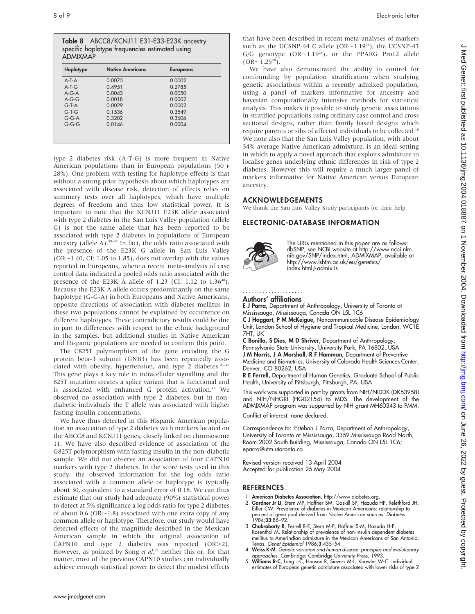Table 8 ABCC8/KCNJ11 E31-E33-E23K ancestry specific haplotype frequencies estimated using ADMIXMAP

| Haplotype | <b>Native Americans</b> | <b>Europeans</b> |
|-----------|-------------------------|------------------|
| $A-T-A$   | 0.0075                  | 0.0002           |
| $A-T-G$   | 0.4951                  | 0.2785           |
| $A-G-A$   | 0.0043                  | 0.0050           |
| $A-G-G$   | 0.0018                  | 0.0002           |
| $G-T-A$   | 0.0029                  | 0.0002           |
| $G-T-G$   | 0.1536                  | 0.3549           |
| $G-G-A$   | 0.3202                  | 0.3606           |
| $G-G-G$   | 0.0146                  | 0.0004           |

type 2 diabetes risk (A-T-G) is more frequent in Native American populations than in European populations (50  $\nu$ ) 28%). One problem with testing for haplotype effects is that without a strong prior hypothesis about which haplotypes are associated with disease risk, detection of effects relies on summary tests over all haplotypes, which have multiple degrees of freedom and thus low statistical power. It is important to note that the KCNJ11 E23K allele associated with type 2 diabetes in the San Luis Valley population (allele G) is not the same allele that has been reported to be associated with type 2 diabetes in populations of European ancestry (allele A).<sup>39-42</sup> In fact, the odds ratio associated with the presence of the E23K G allele in San Luis Valley  $(OR~1.40, CI: 1.05$  to 1.85), does not overlap with the values reported in Europeans, where a recent meta-analysis of case control data indicated a pooled odds ratio associated with the presence of the E23K A allele of 1.23 (CI: 1.12 to  $1.36^{40}$ ). Because the E23K A allele occurs predominantly on the same haplotype (G-G-A) in both Europeans and Native Americans, opposite directions of association with diabetes mellitus in these two populations cannot be explained by occurrence on different haplotypes. These contradictory results could be due in part to differences with respect to the ethnic background in the samples, but additional studies in Native American and Hispanic populations are needed to confirm this point.

The C825T polymorphism of the gene encoding the G protein beta-3 subunit (GNB3) has been repeatedly associated with obesity, hypertension, and type 2 diabetes.<sup>43-46</sup> This gene plays a key role in intracellular signalling and the 825T mutation creates a splice variant that is functional and is associated with enhanced G protein activation.<sup>46</sup> We observed no association with type 2 diabetes, but in nondiabetic individuals the T allele was associated with higher fasting insulin concentrations.

We have thus detected in this Hispanic American population an association of type 2 diabetes with markers located on the ABCC8 and KCNJ11 genes, closely linked on chromosome 11. We have also described evidence of association of the G825T polymorphism with fasting insulin in the non-diabetic sample. We did not observe an association of four CAPN10 markers with type 2 diabetes. In the score tests used in this study, the observed information for the log odds ratio associated with a common allele or haplotype is typically about 30, equivalent to a standard error of 0.18. We can thus estimate that our study had adequate (90%) statistical power to detect at 5% significance a log odds ratio for type 2 diabetes of about 0.6 (OR $\sim$ 1.8) associated with one extra copy of any common allele or haplotype. Therefore, our study would have detected effects of the magnitude described in the Mexican American sample in which the original association of CAPN10 and type 2 diabetes was reported  $(OR>2)$ . However, as pointed by Song et al,<sup>26</sup> neither this or, for that matter, most of the previous CAPN10 studies can individually achieve enough statistical power to detect the modest effects

that have been described in recent meta-analyses of markers such as the UCSNP-44 C allele (OR $\sim$ 1.19<sup>25</sup>), the UCSNP-43 G/G genotype  $(OR \sim 1.19^{26})$ , or the PPARG Pro12 allele  $(OR~1.25^{28})$ .

We have also demonstrated the ability to control for confounding by population stratification when studying genetic associations within a recently admixed population, using a panel of markers informative for ancestry and bayesian computationally intensive methods for statistical analysis. This makes it possible to study genetic associations in stratified populations using ordinary case control and cross sectional designs, rather than family based designs which require parents or sibs of affected individuals to be collected.10 We note also that the San Luis Valley population, with about 34% average Native American admixture, is an ideal setting in which to apply a novel approach that exploits admixture to localise genes underlying ethnic differences in risk of type 2 diabetes. However this will require a much larger panel of markers informative for Native American versus European ancestry.

#### ACKNOWLEDGEMENTS

We thank the San Luis Valley Study participants for their help.

#### ELECTRONIC-DATABASE INFORMATION



The URLs mentioned in this paper are as follows: dbSNP, see NCBI website at http://www.ncbi.nlm. nih.gov/SNP/index.html; ADMIXMAP, available at http://www.lshtm.ac.uk/eu/genetics/ index.html#admix.Is

#### Authors' affiliations

.....................

E J Parra, Department of Anthropology, University of Toronto at Mississauga, Mississauga, Canada ON L5L 1C6

C J Hoggart, P M McKeigue, Noncommunicable Disease Epidemiology Unit, London School of Hygiene and Tropical Medicine, London, WC1E 7HT, UK

C Bonilla, S Dios, M D Shriver, Department of Anthropology,

Pennsylvania State University, University Park, PA 16802, USA J M Norris, J A Marshall, R F Hamman, Department of Preventive Medicine and Biometrics, University of Colorado Health Sciences Center,

Denver, CO 80262, USA R E Ferrell, Department of Human Genetics, Graduate School of Public Health, University of Pittsburgh, Pittsburgh, PA, USA

This work was supported in part by grants from NIH/NIDDK (DK53958) and NIH/NHGRI (HG02154) to MDS. The development of the ADMIXMAP program was supported by NIH grant MH60343 to PMM. Conflict of interest: none declared.

Correspondence to: Esteban J Parra, Department of Anthropology, University of Toronto at Mississauga, 3359 Mississauga Road North, Room 2002 South Building, Mississauga, Canada ON L5L 1C6; eparra@utm.utoronto.ca

Revised version received 13 April 2004 Accepted for publication 25 May 2004

#### **REFERENCES**

- 1 **American Diabetes Association**, http://www.diabetes.org.<br>2 **Gardner Jr Ll**. Stern MP. Haffner SM. Gaskill SP. Hazuda Gardner Jr LI, Stern MP, Haffner SM, Gaskill SP, Hazuda HP, Relethford JH, Eifler CW. Prevalence of diabetes in Mexican Americans: relationship to percent of gene pool derived from Native American sources. Diabetes
- 1984;33:86–92. 3 Chakraborty R, Ferrell R-E, Stern M-P, Haffner S-M, Hazuda H-P, Rosenthal M. Relationship of prevalence of non-insulin-dependent diabetes mellitus to Amerindian admixture in the Mexican Americans of San Antonio, Texas. Genet Epidemiol 1986;3:435–54.
- 4 Weiss K-M. Genetic variation and human disease: principles and evolutionary
- approaches. Cambridge: Cambridge University Press, 1993.<br>5 Williams R-C, Long J-C, Hanson R, Sievers M-L, Knowler W-C. Individual estimates of European genetic admixture associated with lower risks of type 2